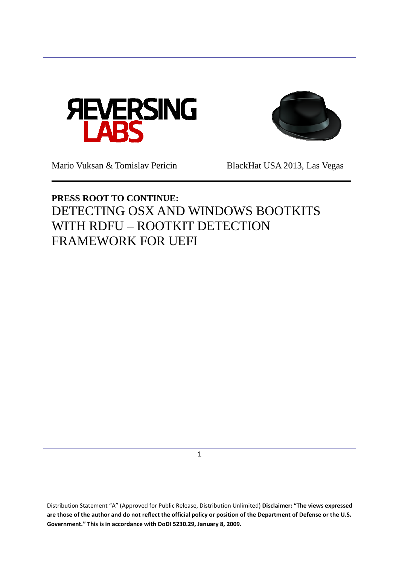



Mario Vuksan & Tomislav Pericin BlackHat USA 2013, Las Vegas

# **PRESS ROOT TO CONTINUE:** DETECTING OSX AND WINDOWS BOOTKITS WITH RDFU – ROOTKIT DETECTION FRAMEWORK FOR UEFI

1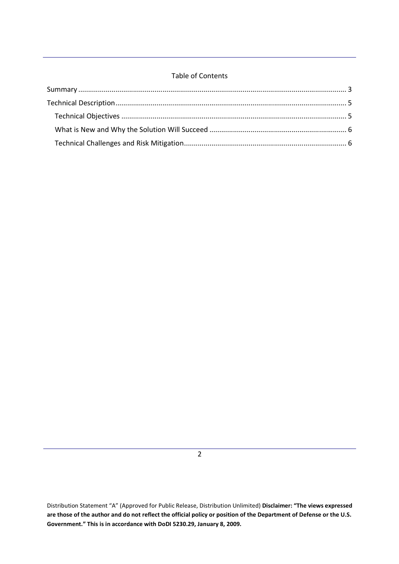## Table of Contents

 $\overline{2}$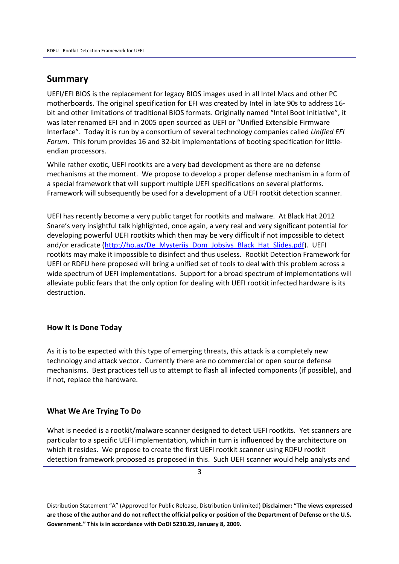## **Summary**

UEFI/EFI BIOS is the replacement for legacy BIOS images used in all Intel Macs and other PC motherboards. The original specification for EFI was created by Intel in late 90s to address 16 bit and other limitations of traditional BIOS formats. Originally named "Intel Boot Initiative", it was later renamed EFI and in 2005 open sourced as UEFI or "Unified Extensible Firmware Interface". Today it is run by a consortium of several technology companies called *Unified EFI Forum*. This forum provides 16 and 32-bit implementations of booting specification for littleendian processors.

While rather exotic, UEFI rootkits are a very bad development as there are no defense mechanisms at the moment. We propose to develop a proper defense mechanism in a form of a special framework that will support multiple UEFI specifications on several platforms. Framework will subsequently be used for a development of a UEFI rootkit detection scanner.

UEFI has recently become a very public target for rootkits and malware. At Black Hat 2012 Snare's very insightful talk highlighted, once again, a very real and very significant potential for developing powerful UEFI rootkits which then may be very difficult if not impossible to detect and/or eradicate (http://ho.ax/De\_Mysteriis\_Dom\_Jobsivs\_Black\_Hat\_Slides.pdf). UEFI rootkits may make it impossible to disinfect and thus useless. Rootkit Detection Framework for UEFI or RDFU here proposed will bring a unified set of tools to deal with this problem across a wide spectrum of UEFI implementations. Support for a broad spectrum of implementations will alleviate public fears that the only option for dealing with UEFI rootkit infected hardware is its destruction.

### **How It Is Done Today**

As it is to be expected with this type of emerging threats, this attack is a completely new technology and attack vector. Currently there are no commercial or open source defense mechanisms. Best practices tell us to attempt to flash all infected components (if possible), and if not, replace the hardware.

### **What We Are Trying To Do**

What is needed is a rootkit/malware scanner designed to detect UEFI rootkits. Yet scanners are particular to a specific UEFI implementation, which in turn is influenced by the architecture on which it resides. We propose to create the first UEFI rootkit scanner using RDFU rootkit detection framework proposed as proposed in this. Such UEFI scanner would help analysts and

3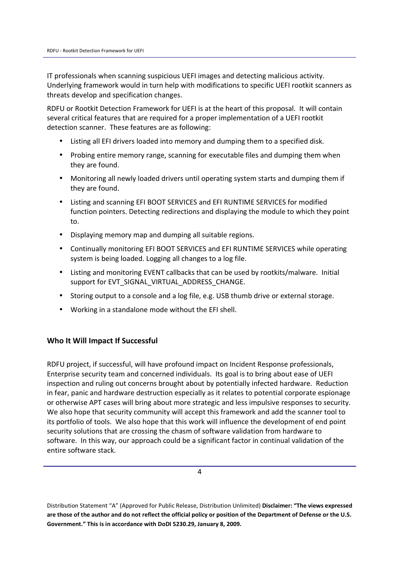IT professionals when scanning suspicious UEFI images and detecting malicious activity. Underlying framework would in turn help with modifications to specific UEFI rootkit scanners as threats develop and specification changes.

RDFU or Rootkit Detection Framework for UEFI is at the heart of this proposal. It will contain several critical features that are required for a proper implementation of a UEFI rootkit detection scanner. These features are as following:

- Listing all EFI drivers loaded into memory and dumping them to a specified disk.
- Probing entire memory range, scanning for executable files and dumping them when they are found.
- Monitoring all newly loaded drivers until operating system starts and dumping them if they are found.
- Listing and scanning EFI BOOT SERVICES and EFI RUNTIME SERVICES for modified function pointers. Detecting redirections and displaying the module to which they point to.
- Displaying memory map and dumping all suitable regions.
- Continually monitoring EFI BOOT SERVICES and EFI RUNTIME SERVICES while operating system is being loaded. Logging all changes to a log file.
- Listing and monitoring EVENT callbacks that can be used by rootkits/malware. Initial support for EVT\_SIGNAL\_VIRTUAL\_ADDRESS\_CHANGE.
- Storing output to a console and a log file, e.g. USB thumb drive or external storage.
- Working in a standalone mode without the EFI shell.

## **Who It Will Impact If Successful**

RDFU project, if successful, will have profound impact on Incident Response professionals, Enterprise security team and concerned individuals. Its goal is to bring about ease of UEFI inspection and ruling out concerns brought about by potentially infected hardware. Reduction in fear, panic and hardware destruction especially as it relates to potential corporate espionage or otherwise APT cases will bring about more strategic and less impulsive responses to security. We also hope that security community will accept this framework and add the scanner tool to its portfolio of tools. We also hope that this work will influence the development of end point security solutions that are crossing the chasm of software validation from hardware to software. In this way, our approach could be a significant factor in continual validation of the entire software stack.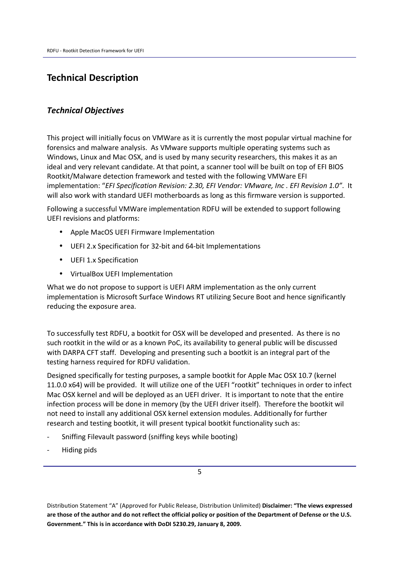## **Technical Description**

## *Technical Objectives*

This project will initially focus on VMWare as it is currently the most popular virtual machine for forensics and malware analysis. As VMware supports multiple operating systems such as Windows, Linux and Mac OSX, and is used by many security researchers, this makes it as an ideal and very relevant candidate. At that point, a scanner tool will be built on top of EFI BIOS Rootkit/Malware detection framework and tested with the following VMWare EFI implementation: "*EFI Specification Revision: 2.30, EFI Vendor: VMware, Inc . EFI Revision 1.0"*. It will also work with standard UEFI motherboards as long as this firmware version is supported.

Following a successful VMWare implementation RDFU will be extended to support following UEFI revisions and platforms:

- Apple MacOS UEFI Firmware Implementation
- UEFI 2.x Specification for 32-bit and 64-bit Implementations
- UEFI 1.x Specification
- VirtualBox UEFI Implementation

What we do not propose to support is UEFI ARM implementation as the only current implementation is Microsoft Surface Windows RT utilizing Secure Boot and hence significantly reducing the exposure area.

To successfully test RDFU, a bootkit for OSX will be developed and presented. As there is no such rootkit in the wild or as a known PoC, its availability to general public will be discussed with DARPA CFT staff. Developing and presenting such a bootkit is an integral part of the testing harness required for RDFU validation.

Designed specifically for testing purposes, a sample bootkit for Apple Mac OSX 10.7 (kernel 11.0.0 x64) will be provided. It will utilize one of the UEFI "rootkit" techniques in order to infect Mac OSX kernel and will be deployed as an UEFI driver. It is important to note that the entire infection process will be done in memory (by the UEFI driver itself). Therefore the bootkit wil not need to install any additional OSX kernel extension modules. Additionally for further research and testing bootkit, it will present typical bootkit functionality such as:

- Sniffing Filevault password (sniffing keys while booting)
- Hiding pids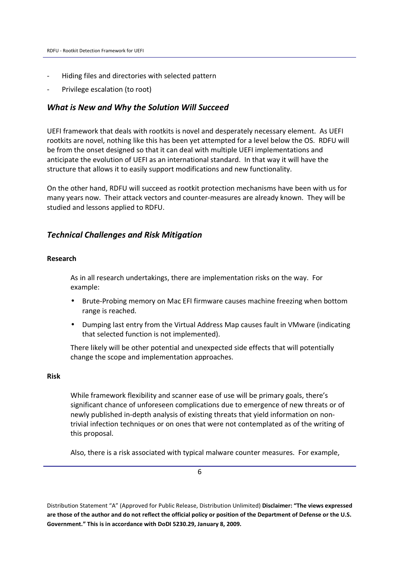- Hiding files and directories with selected pattern
- Privilege escalation (to root)

### *What is New and Why the Solution Will Succeed*

UEFI framework that deals with rootkits is novel and desperately necessary element. As UEFI rootkits are novel, nothing like this has been yet attempted for a level below the OS. RDFU will be from the onset designed so that it can deal with multiple UEFI implementations and anticipate the evolution of UEFI as an international standard. In that way it will have the structure that allows it to easily support modifications and new functionality.

On the other hand, RDFU will succeed as rootkit protection mechanisms have been with us for many years now. Their attack vectors and counter-measures are already known. They will be studied and lessons applied to RDFU.

### *Technical Challenges and Risk Mitigation*

### **Research**

As in all research undertakings, there are implementation risks on the way. For example:

- Brute-Probing memory on Mac EFI firmware causes machine freezing when bottom range is reached.
- Dumping last entry from the Virtual Address Map causes fault in VMware (indicating that selected function is not implemented).

There likely will be other potential and unexpected side effects that will potentially change the scope and implementation approaches.

### **Risk**

While framework flexibility and scanner ease of use will be primary goals, there's significant chance of unforeseen complications due to emergence of new threats or of newly published in-depth analysis of existing threats that yield information on nontrivial infection techniques or on ones that were not contemplated as of the writing of this proposal.

Also, there is a risk associated with typical malware counter measures. For example,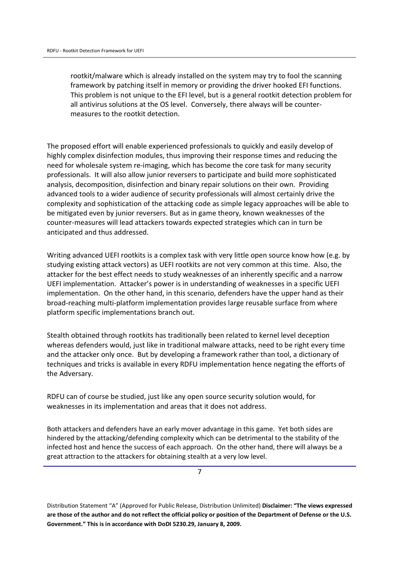rootkit/malware which is already installed on the system may try to fool the scanning framework by patching itself in memory or providing the driver hooked EFI functions. This problem is not unique to the EFI level, but is a general rootkit detection problem for all antivirus solutions at the OS level. Conversely, there always will be countermeasures to the rootkit detection.

The proposed effort will enable experienced professionals to quickly and easily develop of highly complex disinfection modules, thus improving their response times and reducing the need for wholesale system re-imaging, which has become the core task for many security professionals. It will also allow junior reversers to participate and build more sophisticated analysis, decomposition, disinfection and binary repair solutions on their own. Providing advanced tools to a wider audience of security professionals will almost certainly drive the complexity and sophistication of the attacking code as simple legacy approaches will be able to be mitigated even by junior reversers. But as in game theory, known weaknesses of the counter-measures will lead attackers towards expected strategies which can in turn be anticipated and thus addressed.

Writing advanced UEFI rootkits is a complex task with very little open source know how (e.g. by studying existing attack vectors) as UEFI rootkits are not very common at this time. Also, the attacker for the best effect needs to study weaknesses of an inherently specific and a narrow UEFI implementation. Attacker's power is in understanding of weaknesses in a specific UEFI implementation. On the other hand, in this scenario, defenders have the upper hand as their broad-reaching multi-platform implementation provides large reusable surface from where platform specific implementations branch out.

Stealth obtained through rootkits has traditionally been related to kernel level deception whereas defenders would, just like in traditional malware attacks, need to be right every time and the attacker only once. But by developing a framework rather than tool, a dictionary of techniques and tricks is available in every RDFU implementation hence negating the efforts of the Adversary.

RDFU can of course be studied, just like any open source security solution would, for weaknesses in its implementation and areas that it does not address.

Both attackers and defenders have an early mover advantage in this game. Yet both sides are hindered by the attacking/defending complexity which can be detrimental to the stability of the infected host and hence the success of each approach. On the other hand, there will always be a great attraction to the attackers for obtaining stealth at a very low level.

7